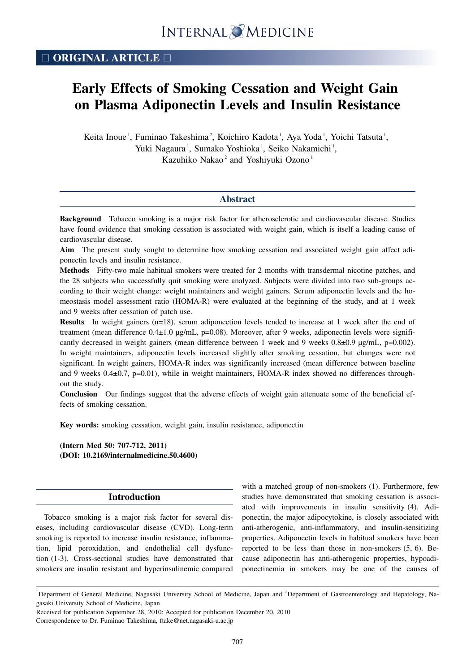## □ **ORIGINAL ARTICLE** □

# **Early Effects of Smoking Cessation and Weight Gain on Plasma Adiponectin Levels and Insulin Resistance**

Keita Inoue<sup>1</sup>, Fuminao Takeshima<sup>2</sup>, Koichiro Kadota<sup>1</sup>, Aya Yoda<sup>1</sup>, Yoichi Tatsuta<sup>1</sup>, Yuki Nagaura<sup>1</sup>, Sumako Yoshioka<sup>1</sup>, Seiko Nakamichi<sup>1</sup>, Kazuhiko Nakao<sup>2</sup> and Yoshiyuki Ozono<sup>1</sup>

## **Abstract**

**Background** Tobacco smoking is a major risk factor for atherosclerotic and cardiovascular disease. Studies have found evidence that smoking cessation is associated with weight gain, which is itself a leading cause of cardiovascular disease.

**Aim** The present study sought to determine how smoking cessation and associated weight gain affect adiponectin levels and insulin resistance.

**Methods** Fifty-two male habitual smokers were treated for 2 months with transdermal nicotine patches, and the 28 subjects who successfully quit smoking were analyzed. Subjects were divided into two sub-groups according to their weight change: weight maintainers and weight gainers. Serum adiponectin levels and the homeostasis model assessment ratio (HOMA-R) were evaluated at the beginning of the study, and at 1 week and 9 weeks after cessation of patch use.

**Results** In weight gainers (n=18), serum adiponection levels tended to increase at 1 week after the end of treatment (mean difference 0.4±1.0 μg/mL, p=0.08). Moreover, after 9 weeks, adiponectin levels were significantly decreased in weight gainers (mean difference between 1 week and 9 weeks 0.8±0.9 μg/mL, p=0.002). In weight maintainers, adiponectin levels increased slightly after smoking cessation, but changes were not significant. In weight gainers, HOMA-R index was significantly increased (mean difference between baseline and 9 weeks 0.4±0.7, p=0.01), while in weight maintainers, HOMA-R index showed no differences throughout the study.

**Conclusion** Our findings suggest that the adverse effects of weight gain attenuate some of the beneficial effects of smoking cessation.

**Key words:** smoking cessation, weight gain, insulin resistance, adiponectin

**(Intern Med 50: 707-712, 2011) (DOI: 10.2169/internalmedicine.50.4600)**

## **Introduction**

Tobacco smoking is a major risk factor for several diseases, including cardiovascular disease (CVD). Long-term smoking is reported to increase insulin resistance, inflammation, lipid peroxidation, and endothelial cell dysfunction (1-3). Cross-sectional studies have demonstrated that smokers are insulin resistant and hyperinsulinemic compared with a matched group of non-smokers (1). Furthermore, few studies have demonstrated that smoking cessation is associated with improvements in insulin sensitivity (4). Adiponectin, the major adipocytokine, is closely associated with anti-atherogenic, anti-inflammatory, and insulin-sensitizing properties. Adiponectin levels in habitual smokers have been reported to be less than those in non-smokers (5, 6). Because adiponectin has anti-atherogenic properties, hypoadiponectinemia in smokers may be one of the causes of

Received for publication September 28, 2010; Accepted for publication December 20, 2010 Correspondence to Dr. Fuminao Takeshima, ftake@net.nagasaki-u.ac.jp

<sup>&</sup>lt;sup>1</sup>Department of General Medicine, Nagasaki University School of Medicine, Japan and <sup>2</sup>Department of Gastroenterology and Hepatology, Nagasaki University School of Medicine, Japan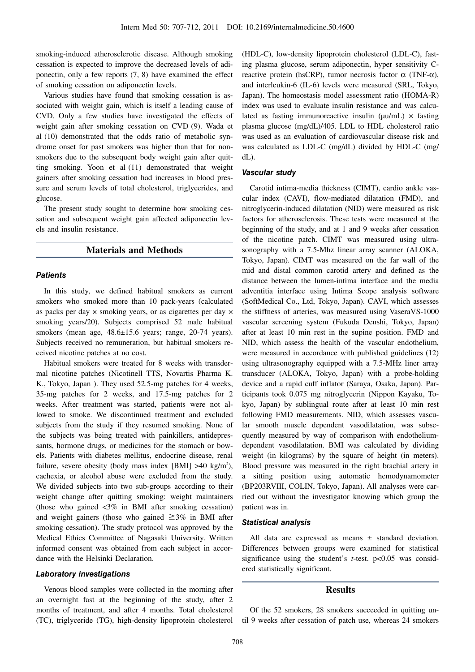smoking-induced atherosclerotic disease. Although smoking cessation is expected to improve the decreased levels of adiponectin, only a few reports (7, 8) have examined the effect of smoking cessation on adiponectin levels.

Various studies have found that smoking cessation is associated with weight gain, which is itself a leading cause of CVD. Only a few studies have investigated the effects of weight gain after smoking cessation on CVD (9). Wada et al (10) demonstrated that the odds ratio of metabolic syndrome onset for past smokers was higher than that for nonsmokers due to the subsequent body weight gain after quitting smoking. Yoon et al (11) demonstrated that weight gainers after smoking cessation had increases in blood pressure and serum levels of total cholesterol, triglycerides, and glucose.

The present study sought to determine how smoking cessation and subsequent weight gain affected adiponectin levels and insulin resistance.

## **Materials and Methods**

## **Patients**

In this study, we defined habitual smokers as current smokers who smoked more than 10 pack-years (calculated as packs per day  $\times$  smoking years, or as cigarettes per day  $\times$ smoking years/20). Subjects comprised 52 male habitual smokers (mean age,  $48.6 \pm 15.6$  years; range, 20-74 years). Subjects received no remuneration, but habitual smokers received nicotine patches at no cost.

Habitual smokers were treated for 8 weeks with transdermal nicotine patches (Nicotinell TTS, Novartis Pharma K. K., Tokyo, Japan ). They used 52.5-mg patches for 4 weeks, 35-mg patches for 2 weeks, and 17.5-mg patches for 2 weeks. After treatment was started, patients were not allowed to smoke. We discontinued treatment and excluded subjects from the study if they resumed smoking. None of the subjects was being treated with painkillers, antidepressants, hormone drugs, or medicines for the stomach or bowels. Patients with diabetes mellitus, endocrine disease, renal failure, severe obesity (body mass index [BMI]  $>40$  kg/m<sup>2</sup>), cachexia, or alcohol abuse were excluded from the study. We divided subjects into two sub-groups according to their weight change after quitting smoking: weight maintainers (those who gained <3% in BMI after smoking cessation) and weight gainers (those who gained  $\geq$ 3% in BMI after smoking cessation). The study protocol was approved by the Medical Ethics Committee of Nagasaki University. Written informed consent was obtained from each subject in accordance with the Helsinki Declaration.

#### **Laboratory investigations**

Venous blood samples were collected in the morning after an overnight fast at the beginning of the study, after 2 months of treatment, and after 4 months. Total cholesterol (TC), triglyceride (TG), high-density lipoprotein cholesterol (HDL-C), low-density lipoprotein cholesterol (LDL-C), fasting plasma glucose, serum adiponectin, hyper sensitivity Creactive protein (hsCRP), tumor necrosis factor  $α$  (TNF- $α$ ), and interleukin-6 (IL-6) levels were measured (SRL, Tokyo, Japan). The homeostasis model assessment ratio (HOMA-R) index was used to evaluate insulin resistance and was calculated as fasting immunoreactive insulin ( $\mu$ u/mL)  $\times$  fasting plasma glucose (mg/dL)/405. LDL to HDL cholesterol ratio was used as an evaluation of cardiovascular disease risk and was calculated as LDL-C (mg/dL) divided by HDL-C (mg/ dL).

## **Vascular study**

Carotid intima-media thickness (CIMT), cardio ankle vascular index (CAVI), flow-mediated dilatation (FMD), and nitroglycerin-induced dilatation (NID) were measured as risk factors for atherosclerosis. These tests were measured at the beginning of the study, and at 1 and 9 weeks after cessation of the nicotine patch. CIMT was measured using ultrasonography with a 7.5-Mhz linear array scanner (ALOKA, Tokyo, Japan). CIMT was measured on the far wall of the mid and distal common carotid artery and defined as the distance between the lumen-intima interface and the media adventitia interface using Intima Scope analysis software (SoftMedical Co., Ltd, Tokyo, Japan). CAVI, which assesses the stiffness of arteries, was measured using VaseraVS-1000 vascular screening system (Fukuda Denshi, Tokyo, Japan) after at least 10 min rest in the supine position. FMD and NID, which assess the health of the vascular endothelium, were measured in accordance with published guidelines (12) using ultrasonography equipped with a 7.5-MHz liner array transducer (ALOKA, Tokyo, Japan) with a probe-holding device and a rapid cuff inflator (Saraya, Osaka, Japan). Participants took 0.075 mg nitroglycerin (Nippon Kayaku, Tokyo, Japan) by sublingual route after at least 10 min rest following FMD measurements. NID, which assesses vascular smooth muscle dependent vasodilatation, was subsequently measured by way of comparison with endotheliumdependent vasodilatation. BMI was calculated by dividing weight (in kilograms) by the square of height (in meters). Blood pressure was measured in the right brachial artery in a sitting position using automatic hemodynamometer (BP203RVIII, COLIN, Tokyo, Japan). All analyses were carried out without the investigator knowing which group the patient was in.

#### **Statistical analysis**

All data are expressed as means ± standard deviation. Differences between groups were examined for statistical significance using the student's *t*-test. p<0.05 was considered statistically significant.

## **Results**

Of the 52 smokers, 28 smokers succeeded in quitting until 9 weeks after cessation of patch use, whereas 24 smokers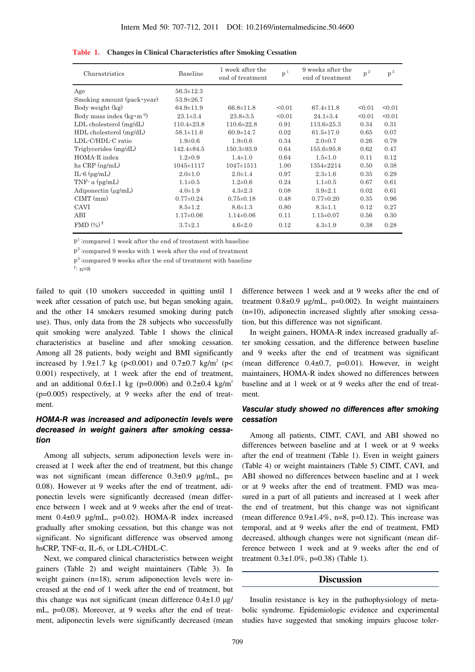| Charastristics                   | 1 week after the<br>Baseline<br>end of treatment |                  | p <sup>1</sup> | 9 weeks after the<br>end of treatment | $p^2$  | $p^3$  |
|----------------------------------|--------------------------------------------------|------------------|----------------|---------------------------------------|--------|--------|
| Age                              | $56.3 \pm 12.3$                                  |                  |                |                                       |        |        |
| Smoking amount (pack vear)       | $53.9 \pm 26.7$                                  |                  |                |                                       |        |        |
| Body weight (kg)                 | $64.9 \pm 11.9$                                  | $66.8 \pm 11.8$  | < 0.01         | $67.4 \pm 11.8$                       | < 0.01 | < 0.01 |
| Body mass index $(kg \cdot m^2)$ | $23.1 \pm 3.4$                                   | $23.8 \pm 3.5$   | < 0.01         | $24.1 \pm 3.4$                        | < 0.01 | < 0.01 |
| $LDL$ cholesterol $(mg/dL)$      | $110.4 \pm 23.8$                                 | $110.6 \pm 22.8$ | 0.91           | $113.6 \pm 25.3$                      | 0.34   | 0.31   |
| HDL cholesterol (mg/dL)          | $58.1 \pm 11.6$                                  | $60.9 \pm 14.7$  | 0.02           | $61.5 \pm 17.0$                       | 0.65   | 0.07   |
| LDL-C/HDL-C ratio                | $1.9 + 0.6$                                      | $1.9 + 0.6$      | 0.34           | $2.0 \pm 0.7$                         | 0.26   | 0.79   |
| Triglycerides (mg/dL)            | $142.4 \pm 84.5$                                 | $150.3 \pm 93.9$ | 0.64           | 155.6±95.8                            | 0.62   | 0.47   |
| HOMA-R index                     | $1.2 \pm 0.9$                                    | $1.4 \pm 1.0$    | 0.64           | $1.5 \pm 1.0$                         | 0.11   | 0.12   |
| hs $CRP$ (ng/mL)                 | 1045±1117                                        | $1047 \pm 1511$  | 1.00           | 1354±2214                             | 0.50   | 0.38   |
| $IL-6$ (pg/m $L$ )               | $2.0 + 1.0$                                      | $2.0 \pm 1.4$    | 0.97           | $2.3 \pm 1.6$                         | 0.35   | 0.29   |
| TNF- $\alpha$ (pg/mL)            | $1.1 \pm 0.5$                                    | $1.2 \pm 0.6$    | 0.24           | $1.1 + 0.5$                           | 0.67   | 0.61   |
| Adiponectin $(\mu g/mL)$         | $4.0 \pm 1.9$                                    | $4.3 \pm 2.3$    | 0.08           | $3.9 \pm 2.1$                         | 0.02   | 0.61   |
| $CIMT$ (mm)                      | $0.77 \pm 0.24$                                  | $0.75 \pm 0.18$  | 0.48           | $0.77 \pm 0.20$                       | 0.35   | 0.96   |
| CAVI                             | $8.5 \pm 1.2$                                    | $8.6 \pm 1.3$    | 0.80           | $8.3 \pm 1.1$                         | 0.12   | 0.27   |
| ABI                              | $1.17 \pm 0.06$                                  | $1.14 \pm 0.06$  | 0.11           | $1.15 \pm 0.07$                       | 0.56   | 0.30   |
| FMD $(\%)^{\dagger}$             | $3.7 \pm 2.1$                                    | $4.6 \pm 2.0$    | 0.12           | $4.3 \pm 1.9$                         | 0.38   | 0.28   |

**Table 1. Changes in Clinical Characteristics after Smoking Cessation**

 $p<sup>1</sup>$  compared 1 week after the end of treatment with baseline

 $p^2$ : compared 9 weeks with 1 week after the end of treatment

p3 :compared 9 weeks after the end of treatment with baseline

failed to quit (10 smokers succeeded in quitting until 1 week after cessation of patch use, but began smoking again, and the other 14 smokers resumed smoking during patch use). Thus, only data from the 28 subjects who successfully quit smoking were analyzed. Table 1 shows the clinical characteristics at baseline and after smoking cessation. Among all 28 patients, body weight and BMI significantly increased by 1.9±1.7 kg (p<0.001) and 0.7±0.7 kg/m<sup>2</sup> (p< 0.001) respectively, at 1 week after the end of treatment, and an additional  $0.6 \pm 1.1$  kg (p=0.006) and  $0.2 \pm 0.4$  kg/m<sup>2</sup> (p=0.005) respectively, at 9 weeks after the end of treatment.

## **HOMA-R was increased and adiponectin levels were decreased in weight gainers after smoking cessation**

Among all subjects, serum adiponection levels were increased at 1 week after the end of treatment, but this change was not significant (mean difference 0.3±0.9 μg/mL, p= 0.08). However at 9 weeks after the end of treatment, adiponectin levels were significantly decreased (mean difference between 1 week and at 9 weeks after the end of treatment 0.4±0.9 μg/mL, p=0.02). HOMA-R index increased gradually after smoking cessation, but this change was not significant. No significant difference was observed among hsCRP, TNF-α, IL-6, or LDL-C/HDL-C.

Next, we compared clinical characteristics between weight gainers (Table 2) and weight maintainers (Table 3). In weight gainers (n=18), serum adiponection levels were increased at the end of 1 week after the end of treatment, but this change was not significant (mean difference  $0.4\pm1.0$  µg/ mL, p=0.08). Moreover, at 9 weeks after the end of treatment, adiponectin levels were significantly decreased (mean

difference between 1 week and at 9 weeks after the end of treatment 0.8±0.9 μg/mL, p=0.002). In weight maintainers (n=10), adiponectin increased slightly after smoking cessation, but this difference was not significant.

In weight gainers, HOMA-R index increased gradually after smoking cessation, and the difference between baseline and 9 weeks after the end of treatment was significant (mean difference  $0.4\pm0.7$ , p=0.01). However, in weight maintainers, HOMA-R index showed no differences between baseline and at 1 week or at 9 weeks after the end of treatment.

## **Vascular study showed no differences after smoking cessation**

Among all patients, CIMT, CAVI, and ABI showed no differences between baseline and at 1 week or at 9 weeks after the end of treatment (Table 1). Even in weight gainers (Table 4) or weight maintainers (Table 5) CIMT, CAVI, and ABI showed no differences between baseline and at 1 week or at 9 weeks after the end of treatment. FMD was measured in a part of all patients and increased at 1 week after the end of treatment, but this change was not significant (mean difference  $0.9\pm1.4\%$ , n=8, p=0.12). This increase was temporal, and at 9 weeks after the end of treatment, FMD decreased, although changes were not significant (mean difference between 1 week and at 9 weeks after the end of treatment  $0.3 \pm 1.0\%$ , p=0.38) (Table 1).

## **Discussion**

Insulin resistance is key in the pathophysiology of metabolic syndrome. Epidemiologic evidence and experimental studies have suggested that smoking impairs glucose toler-

<sup>†</sup> : n=8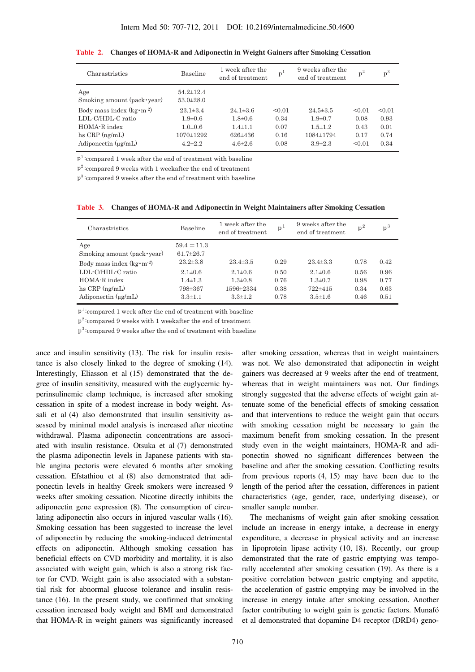| Charastristics                    | Baseline                           | 1 week after the<br>end of treatment | $p^{\perp}$ | 9 weeks after the<br>end of treatment | $p^2$  | $p^3$  |
|-----------------------------------|------------------------------------|--------------------------------------|-------------|---------------------------------------|--------|--------|
| Age<br>Smoking amount (pack year) | $54.2 \pm 12.4$<br>$53.0 \pm 28.0$ |                                      |             |                                       |        |        |
| Body mass index $(kg \cdot m^2)$  | $23.1 \pm 3.4$                     | $24.1 \pm 3.6$                       | < 0.01      | $24.5 \pm 3.5$                        | < 0.01 | < 0.01 |
| LDL-C/HDL-C ratio                 | $1.9 \pm 0.6$                      | $1.8 \pm 0.6$                        | 0.34        | $1.9 \pm 0.7$                         | 0.08   | 0.93   |
| HOMA-R index                      | $1.0 \pm 0.6$                      | $1.4 \pm 1.1$                        | 0.07        | $1.5 \pm 1.2$                         | 0.43   | 0.01   |
| hs $CRP$ (ng/mL)                  | $1070 \pm 1292$                    | $626 \pm 436$                        | 0.16        | $1084 \pm 1794$                       | 0.17   | 0.74   |
| Adiponectin $(\mu g/mL)$          | $4.2 \pm 2.2$                      | $4.6 \pm 2.6$                        | 0.08        | $3.9 \pm 2.3$                         | < 0.01 | 0.34   |

**Table 2. Changes of HOMA-R and Adiponectin in Weight Gainers after Smoking Cessation**

 $p<sup>1</sup>$ : compared 1 week after the end of treatment with baseline

 $p^2$ : compared 9 weeks with 1 weekafter the end of treatment

p3 :compared 9 weeks after the end of treatment with baseline

**Table 3. Changes of HOMA-R and Adiponectin in Weight Maintainers after Smoking Cessation**

| Charastristics                               | <b>Baseline</b>                    | 1 week after the<br>end of treatment | $p^{\perp}$  | 9 weeks after the<br>end of treatment | $p^2$        | $\mathbf{p}^3$ |
|----------------------------------------------|------------------------------------|--------------------------------------|--------------|---------------------------------------|--------------|----------------|
| Age<br>Smoking amount (pack vear)            | $59.4 \pm 11.3$<br>$61.7 \pm 26.7$ |                                      |              |                                       |              |                |
| Body mass index $(kg \cdot m^2)$             | $23.2 \pm 3.8$                     | $23.4 \pm 3.5$                       | 0.29         | $23.4 \pm 3.3$                        | 0.78         | 0.42           |
| LDL-C/HDL-C ratio                            | $2.1 \pm 0.6$                      | $2.1 \pm 0.6$                        | 0.50         | $2.1 \pm 0.6$                         | 0.56         | 0.96           |
| HOMA-R index                                 | $1.4 \pm 1.3$                      | $1.3 \pm 0.8$                        | 0.76         | $1.3 \pm 0.7$                         | 0.98         | 0.77           |
| hs $CRP$ (ng/mL)<br>Adiponectin $(\mu g/mL)$ | 798±367<br>$3.3 \pm 1.1$           | 1596±2334<br>$3.3 \pm 1.2$           | 0.38<br>0.78 | 722±415<br>$3.5 \pm 1.6$              | 0.34<br>0.46 | 0.63<br>0.51   |

 $p<sup>1</sup>$ : compared 1 week after the end of treatment with baseline

 $p^2$ :compared 9 weeks with 1 weekafter the end of treatment

 $p<sup>3</sup>$ : compared 9 weeks after the end of treatment with baseline

ance and insulin sensitivity (13). The risk for insulin resistance is also closely linked to the degree of smoking (14). Interestingly, Eliasson et al (15) demonstrated that the degree of insulin sensitivity, measured with the euglycemic hyperinsulinemic clamp technique, is increased after smoking cessation in spite of a modest increase in body weight. Assali et al (4) also demonstrated that insulin sensitivity assessed by minimal model analysis is increased after nicotine withdrawal. Plasma adiponectin concentrations are associated with insulin resistance. Otsuka et al (7) demonstrated the plasma adiponectin levels in Japanese patients with stable angina pectoris were elevated 6 months after smoking cessation. Efstathiou et al (8) also demonstrated that adiponectin levels in healthy Greek smokers were increased 9 weeks after smoking cessation. Nicotine directly inhibits the adiponectin gene expression (8). The consumption of circulating adiponectin also occurs in injured vascular walls (16). Smoking cessation has been suggested to increase the level of adiponectin by reducing the smoking-induced detrimental effects on adiponectin. Although smoking cessation has beneficial effects on CVD morbidity and mortality, it is also associated with weight gain, which is also a strong risk factor for CVD. Weight gain is also associated with a substantial risk for abnormal glucose tolerance and insulin resistance (16). In the present study, we confirmed that smoking cessation increased body weight and BMI and demonstrated that HOMA-R in weight gainers was significantly increased after smoking cessation, whereas that in weight maintainers was not. We also demonstrated that adiponectin in weight gainers was decreased at 9 weeks after the end of treatment, whereas that in weight maintainers was not. Our findings strongly suggested that the adverse effects of weight gain attenuate some of the beneficial effects of smoking cessation and that interventions to reduce the weight gain that occurs with smoking cessation might be necessary to gain the maximum benefit from smoking cessation. In the present study even in the weight maintainers, HOMA-R and adiponectin showed no significant differences between the baseline and after the smoking cessation. Conflicting results from previous reports (4, 15) may have been due to the length of the period after the cessation, differences in patient characteristics (age, gender, race, underlying disease), or smaller sample number.

The mechanisms of weight gain after smoking cessation include an increase in energy intake, a decrease in energy expenditure, a decrease in physical activity and an increase in lipoprotein lipase activity (10, 18). Recently, our group demonstrated that the rate of gastric emptying was temporally accelerated after smoking cessation (19). As there is a positive correlation between gastric emptying and appetite, the acceleration of gastric emptying may be involved in the increase in energy intake after smoking cessation. Another factor contributing to weight gain is genetic factors. Munafó et al demonstrated that dopamine D4 receptor (DRD4) geno-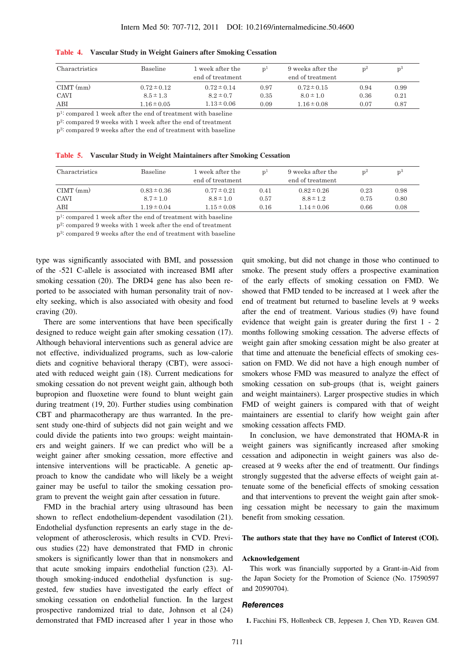| Charactristics | <b>Baseline</b>                                               | 1 week after the<br>end of treatment | n <sup>1</sup> | 9 weeks after the<br>end of treatment | $n^2$ | $n^{\circ}$ |
|----------------|---------------------------------------------------------------|--------------------------------------|----------------|---------------------------------------|-------|-------------|
| $CIMT$ (mm)    | $0.72 \pm 0.12$                                               | $0.72 \pm 0.14$                      | 0.97           | $0.72 \pm 0.15$                       | 0.94  | 0.99        |
| CAVI           | $8.5 \pm 1.3$                                                 | $8.2 \pm 0.7$                        | 0.35           | $8.0 \pm 1.0$                         | 0.36  | 0.21        |
| ABI            | $1.16 \pm 0.05$                                               | $1.13 \pm 0.06$                      | 0.09           | $1.16 \pm 0.08$                       | 0.07  | 0.87        |
| $\overline{1}$ | $\mathbf{1}$ $\mathbf{0}$ $\mathbf{1}$<br>$\alpha$ , $\alpha$ |                                      |                |                                       |       |             |

**Table 4. Vascular Study in Weight Gainers after Smoking Cessation**

p1: compared 1 week after the end of treatment with baseline

p2: compared 9 weeks with 1 week after the end of treatment

p3: compared 9 weeks after the end of treatment with baseline

| Table 5. |  |  |  |  | Vascular Study in Weight Maintainers after Smoking Cessation |  |  |
|----------|--|--|--|--|--------------------------------------------------------------|--|--|
|----------|--|--|--|--|--------------------------------------------------------------|--|--|

| Charactristics | <b>Baseline</b> | 1 week after the<br>end of treatment | n <sup>1</sup> | 9 weeks after the<br>end of treatment | $n^2$ | n <sup>o</sup> |
|----------------|-----------------|--------------------------------------|----------------|---------------------------------------|-------|----------------|
| $CIMT$ (mm)    | $0.83 \pm 0.36$ | $0.77 \pm 0.21$                      | 0.41           | $0.82 \pm 0.26$                       | 0.23  | 0.98           |
| CAVI           | $8.7 \pm 1.0$   | $8.8 \pm 1.0$                        | 0.57           | $8.8 \pm 1.2$                         | 0.75  | 0.80           |
| ABI            | $1.19 \pm 0.04$ | $1.15 \pm 0.08$                      | 0.16           | $1.14 \pm 0.06$                       | 0.66  | 0.08           |

p1: compared 1 week after the end of treatment with baseline

p2: compared 9 weeks with 1 week after the end of treatment

p3: compared 9 weeks after the end of treatment with baseline

type was significantly associated with BMI, and possession of the -521 C-allele is associated with increased BMI after smoking cessation (20). The DRD4 gene has also been reported to be associated with human personality trait of novelty seeking, which is also associated with obesity and food craving (20).

There are some interventions that have been specifically designed to reduce weight gain after smoking cessation (17). Although behavioral interventions such as general advice are not effective, individualized programs, such as low-calorie diets and cognitive behavioral therapy (CBT), were associated with reduced weight gain (18). Current medications for smoking cessation do not prevent weight gain, although both bupropion and fluoxetine were found to blunt weight gain during treatment (19, 20). Further studies using combination CBT and pharmacotherapy are thus warranted. In the present study one-third of subjects did not gain weight and we could divide the patients into two groups: weight maintainers and weight gainers. If we can predict who will be a weight gainer after smoking cessation, more effective and intensive interventions will be practicable. A genetic approach to know the candidate who will likely be a weight gainer may be useful to tailor the smoking cessation program to prevent the weight gain after cessation in future.

FMD in the brachial artery using ultrasound has been shown to reflect endothelium-dependent vasodilation (21). Endothelial dysfunction represents an early stage in the development of atherosclerosis, which results in CVD. Previous studies (22) have demonstrated that FMD in chronic smokers is significantly lower than that in nonsmokers and that acute smoking impairs endothelial function (23). Although smoking-induced endothelial dysfunction is suggested, few studies have investigated the early effect of smoking cessation on endothelial function. In the largest prospective randomized trial to date, Johnson et al (24) demonstrated that FMD increased after 1 year in those who

quit smoking, but did not change in those who continued to smoke. The present study offers a prospective examination of the early effects of smoking cessation on FMD. We showed that FMD tended to be increased at 1 week after the end of treatment but returned to baseline levels at 9 weeks after the end of treatment. Various studies (9) have found evidence that weight gain is greater during the first 1 - 2 months following smoking cessation. The adverse effects of weight gain after smoking cessation might be also greater at that time and attenuate the beneficial effects of smoking cessation on FMD. We did not have a high enough number of smokers whose FMD was measured to analyze the effect of smoking cessation on sub-groups (that is, weight gainers and weight maintainers). Larger prospective studies in which FMD of weight gainers is compared with that of weight maintainers are essential to clarify how weight gain after smoking cessation affects FMD.

In conclusion, we have demonstrated that HOMA-R in weight gainers was significantly increased after smoking cessation and adiponectin in weight gainers was also decreased at 9 weeks after the end of treatmentt. Our findings strongly suggested that the adverse effects of weight gain attenuate some of the beneficial effects of smoking cessation and that interventions to prevent the weight gain after smoking cessation might be necessary to gain the maximum benefit from smoking cessation.

#### **The authors state that they have no Conflict of Interest (COI).**

#### **Acknowledgement**

This work was financially supported by a Grant-in-Aid from the Japan Society for the Promotion of Science (No. 17590597 and 20590704).

#### **References**

**1.** Facchini FS, Hollenbeck CB, Jeppesen J, Chen YD, Reaven GM.